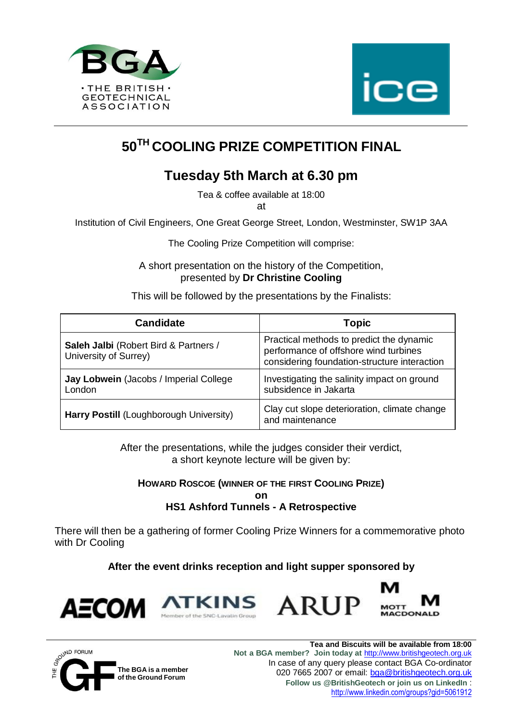



# **50TH COOLING PRIZE COMPETITION FINAL**

## **Tuesday 5th March at 6.30 pm**

Tea & coffee available at 18:00 at

Institution of Civil Engineers, One Great George Street, London, Westminster, SW1P 3AA

The Cooling Prize Competition will comprise:

A short presentation on the history of the Competition, presented by **Dr Christine Cooling**

This will be followed by the presentations by the Finalists:

| <b>Candidate</b>                                               | <b>Topic</b>                                                                                                                      |
|----------------------------------------------------------------|-----------------------------------------------------------------------------------------------------------------------------------|
| Saleh Jalbi (Robert Bird & Partners /<br>University of Surrey) | Practical methods to predict the dynamic<br>performance of offshore wind turbines<br>considering foundation-structure interaction |
| Jay Lobwein (Jacobs / Imperial College<br>London               | Investigating the salinity impact on ground<br>subsidence in Jakarta                                                              |
| Harry Postill (Loughborough University)                        | Clay cut slope deterioration, climate change<br>and maintenance                                                                   |

After the presentations, while the judges consider their verdict, a short keynote lecture will be given by:

**HOWARD ROSCOE (WINNER OF THE FIRST COOLING PRIZE)**

**on**

#### **HS1 Ashford Tunnels - A Retrospective**

There will then be a gathering of former Cooling Prize Winners for a commemorative photo with Dr Cooling

**After the event drinks reception and light supper sponsored by**